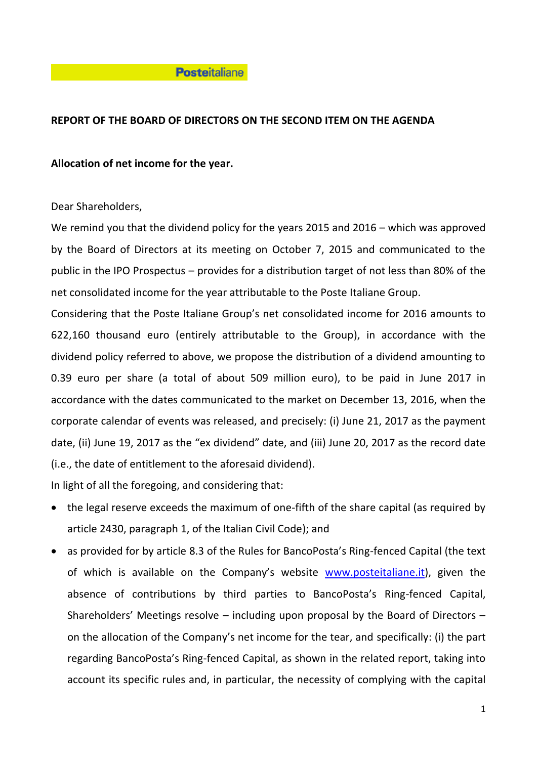## **Posteitaliane**

# **REPORT OF THE BOARD OF DIRECTORS ON THE SECOND ITEM ON THE AGENDA**

# **Allocation of net income for the year.**

Dear Shareholders,

We remind you that the dividend policy for the years 2015 and 2016 – which was approved by the Board of Directors at its meeting on October 7, 2015 and communicated to the public in the IPO Prospectus – provides for a distribution target of not less than 80% of the net consolidated income for the year attributable to the Poste Italiane Group.

Considering that the Poste Italiane Group's net consolidated income for 2016 amounts to 622,160 thousand euro (entirely attributable to the Group), in accordance with the dividend policy referred to above, we propose the distribution of a dividend amounting to 0.39 euro per share (a total of about 509 million euro), to be paid in June 2017 in accordance with the dates communicated to the market on December 13, 2016, when the corporate calendar of events was released, and precisely: (i) June 21, 2017 as the payment date, (ii) June 19, 2017 as the "ex dividend" date, and (iii) June 20, 2017 as the record date (i.e., the date of entitlement to the aforesaid dividend).

In light of all the foregoing, and considering that:

- the legal reserve exceeds the maximum of one-fifth of the share capital (as required by article 2430, paragraph 1, of the Italian Civil Code); and
- as provided for by article 8.3 of the Rules for BancoPosta's Ring-fenced Capital (the text of which is available on the Company's website [www.posteitaliane.it\)](http://www.poste.it/), given the absence of contributions by third parties to BancoPosta's Ring-fenced Capital, Shareholders' Meetings resolve – including upon proposal by the Board of Directors – on the allocation of the Company's net income for the tear, and specifically: (i) the part regarding BancoPosta's Ring-fenced Capital, as shown in the related report, taking into account its specific rules and, in particular, the necessity of complying with the capital